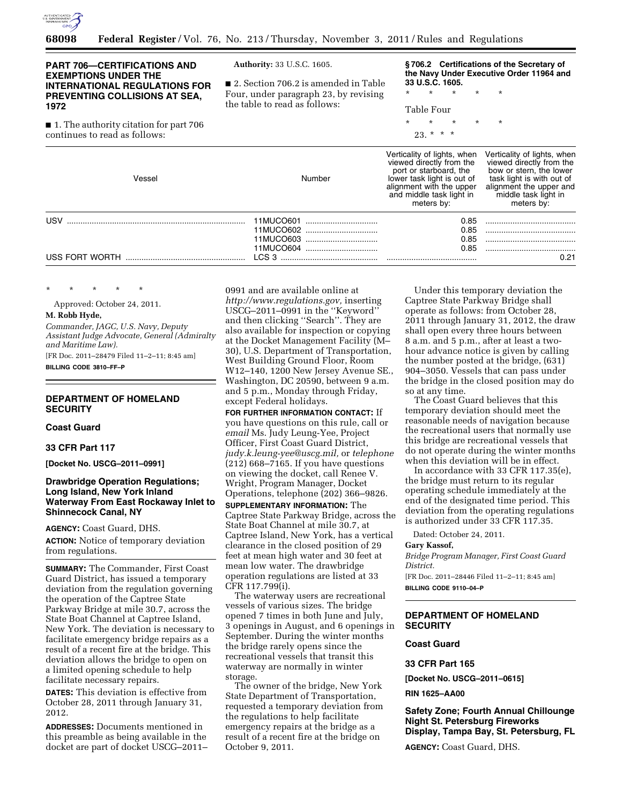

# **PART 706—CERTIFICATIONS AND EXEMPTIONS UNDER THE INTERNATIONAL REGULATIONS FOR PREVENTING COLLISIONS AT SEA, 1972**

■ 1. The authority citation for part 706

continues to read as follows:

**Authority:** 33 U.S.C. 1605.

■ 2. Section 706.2 is amended in Table Four, under paragraph 23, by revising the table to read as follows:

**§ 706.2 Certifications of the Secretary of the Navy Under Executive Order 11964 and 33 U.S.C. 1605.** 

\* \* \* \* \* Table Four

\* \* \* \* \*

 $23. * * * *$ 

| Vessel         | Number                 | Verticality of lights, when<br>viewed directly from the<br>port or starboard, the<br>lower task light is out of<br>alignment with the upper<br>and middle task light in<br>meters by: | Verticality of lights, when<br>viewed directly from the<br>bow or stern, the lower<br>task light is with out of<br>alignment the upper and<br>middle task light in<br>meters by: |
|----------------|------------------------|---------------------------------------------------------------------------------------------------------------------------------------------------------------------------------------|----------------------------------------------------------------------------------------------------------------------------------------------------------------------------------|
| USV            | 11MUCO601<br>11MUCO602 | 0.85<br>0.85                                                                                                                                                                          |                                                                                                                                                                                  |
|                | 11MUCO603<br>          | 0.85                                                                                                                                                                                  |                                                                                                                                                                                  |
|                | 11MUCO604              | 0.85                                                                                                                                                                                  |                                                                                                                                                                                  |
| USS FORT WORTH | LCS 3                  |                                                                                                                                                                                       | 0.21                                                                                                                                                                             |

\* \* \* \* \*

Approved: October 24, 2011.

**M. Robb Hyde,** 

*Commander, JAGC, U.S. Navy, Deputy Assistant Judge Advocate, General (Admiralty and Maritime Law).* 

[FR Doc. 2011–28479 Filed 11–2–11; 8:45 am] **BILLING CODE 3810–FF–P** 

## **DEPARTMENT OF HOMELAND SECURITY**

**Coast Guard** 

**33 CFR Part 117** 

**[Docket No. USCG–2011–0991]** 

## **Drawbridge Operation Regulations; Long Island, New York Inland Waterway From East Rockaway Inlet to Shinnecock Canal, NY**

**AGENCY:** Coast Guard, DHS.

**ACTION:** Notice of temporary deviation from regulations.

**SUMMARY:** The Commander, First Coast Guard District, has issued a temporary deviation from the regulation governing the operation of the Captree State Parkway Bridge at mile 30.7, across the State Boat Channel at Captree Island, New York. The deviation is necessary to facilitate emergency bridge repairs as a result of a recent fire at the bridge. This deviation allows the bridge to open on a limited opening schedule to help facilitate necessary repairs.

**DATES:** This deviation is effective from October 28, 2011 through January 31, 2012.

**ADDRESSES:** Documents mentioned in this preamble as being available in the docket are part of docket USCG–2011– 0991 and are available online at *[http://www.regulations.gov,](http://www.regulations.gov)* inserting USCG–2011–0991 in the ''Keyword'' and then clicking ''Search''. They are also available for inspection or copying at the Docket Management Facility (M– 30), U.S. Department of Transportation, West Building Ground Floor, Room W12–140, 1200 New Jersey Avenue SE., Washington, DC 20590, between 9 a.m. and 5 p.m., Monday through Friday, except Federal holidays.

**FOR FURTHER INFORMATION CONTACT:** If you have questions on this rule, call or *email* Ms. Judy Leung-Yee, Project Officer, First Coast Guard District, *[judy.k.leung-yee@uscg.mil,](mailto:judy.k.leung-yee@uscg.mil)* or *telephone*  (212) 668–7165. If you have questions on viewing the docket, call Renee V. Wright, Program Manager, Docket Operations, telephone (202) 366–9826. **SUPPLEMENTARY INFORMATION:** The

Captree State Parkway Bridge, across the State Boat Channel at mile 30.7, at Captree Island, New York, has a vertical clearance in the closed position of 29 feet at mean high water and 30 feet at mean low water. The drawbridge operation regulations are listed at 33 CFR 117.799(i).

The waterway users are recreational vessels of various sizes. The bridge opened 7 times in both June and July, 3 openings in August, and 6 openings in September. During the winter months the bridge rarely opens since the recreational vessels that transit this waterway are normally in winter storage.

The owner of the bridge, New York State Department of Transportation, requested a temporary deviation from the regulations to help facilitate emergency repairs at the bridge as a result of a recent fire at the bridge on October 9, 2011.

Under this temporary deviation the Captree State Parkway Bridge shall operate as follows: from October 28, 2011 through January 31, 2012, the draw shall open every three hours between 8 a.m. and 5 p.m., after at least a twohour advance notice is given by calling the number posted at the bridge, (631) 904–3050. Vessels that can pass under the bridge in the closed position may do so at any time.

The Coast Guard believes that this temporary deviation should meet the reasonable needs of navigation because the recreational users that normally use this bridge are recreational vessels that do not operate during the winter months when this deviation will be in effect.

In accordance with 33 CFR 117.35(e), the bridge must return to its regular operating schedule immediately at the end of the designated time period. This deviation from the operating regulations is authorized under 33 CFR 117.35.

Dated: October 24, 2011.

#### **Gary Kassof,**

*Bridge Program Manager, First Coast Guard District.* 

[FR Doc. 2011–28446 Filed 11–2–11; 8:45 am] **BILLING CODE 9110–04–P** 

# **DEPARTMENT OF HOMELAND SECURITY**

**Coast Guard** 

## **33 CFR Part 165**

**[Docket No. USCG–2011–0615]** 

**RIN 1625–AA00** 

**Safety Zone; Fourth Annual Chillounge Night St. Petersburg Fireworks Display, Tampa Bay, St. Petersburg, FL** 

**AGENCY:** Coast Guard, DHS.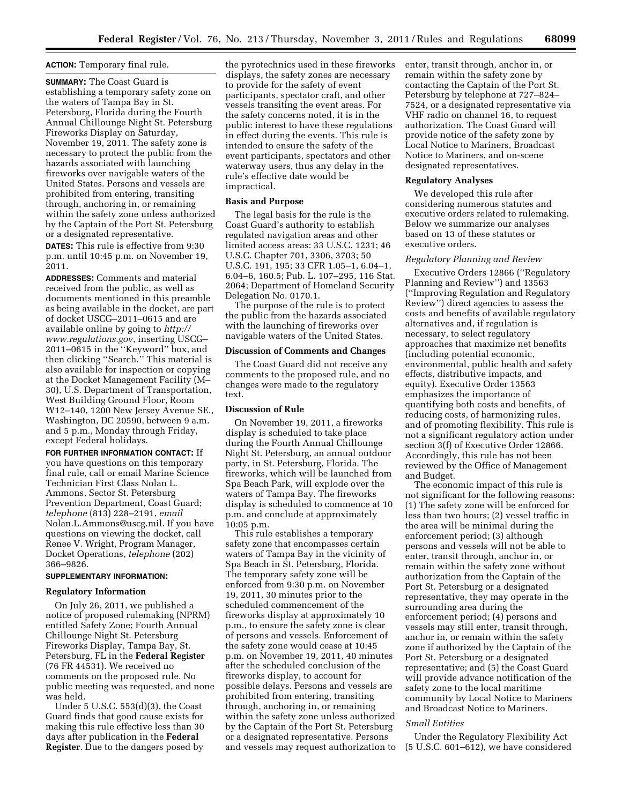## **ACTION:** Temporary final rule.

**SUMMARY:** The Coast Guard is establishing a temporary safety zone on the waters of Tampa Bay in St. Petersburg, Florida during the Fourth Annual Chillounge Night St. Petersburg Fireworks Display on Saturday, November 19, 2011. The safety zone is necessary to protect the public from the hazards associated with launching fireworks over navigable waters of the United States. Persons and vessels are prohibited from entering, transiting through, anchoring in, or remaining within the safety zone unless authorized by the Captain of the Port St. Petersburg or a designated representative. **DATES:** This rule is effective from 9:30 p.m. until 10:45 p.m. on November 19, 2011.

**ADDRESSES:** Comments and material received from the public, as well as documents mentioned in this preamble as being available in the docket, are part of docket USCG–2011–0615 and are available online by going to *[http://](http://www.regulations.gov)  [www.regulations.gov](http://www.regulations.gov)*, inserting USCG– 2011–0615 in the ''Keyword'' box, and then clicking ''Search.'' This material is also available for inspection or copying at the Docket Management Facility (M– 30), U.S. Department of Transportation, West Building Ground Floor, Room W12–140, 1200 New Jersey Avenue SE., Washington, DC 20590, between 9 a.m. and 5 p.m., Monday through Friday, except Federal holidays.

**FOR FURTHER INFORMATION CONTACT:** If you have questions on this temporary final rule, call or email Marine Science Technician First Class Nolan L. Ammons, Sector St. Petersburg Prevention Department, Coast Guard; *telephone* (813) 228–2191, *email*  [Nolan.L.Ammons@uscg.mil.](mailto:Nolan.L.Ammons@uscg.mil) If you have questions on viewing the docket, call Renee V. Wright, Program Manager, Docket Operations, *telephone* (202) 366–9826.

## **SUPPLEMENTARY INFORMATION:**

### **Regulatory Information**

On July 26, 2011, we published a notice of proposed rulemaking (NPRM) entitled Safety Zone; Fourth Annual Chillounge Night St. Petersburg Fireworks Display, Tampa Bay, St. Petersburg, FL in the **Federal Register**  (76 FR 44531). We received no comments on the proposed rule. No public meeting was requested, and none was held.

Under 5 U.S.C. 553(d)(3), the Coast Guard finds that good cause exists for making this rule effective less than 30 days after publication in the **Federal Register**. Due to the dangers posed by

the pyrotechnics used in these fireworks displays, the safety zones are necessary to provide for the safety of event participants, spectator craft, and other vessels transiting the event areas. For the safety concerns noted, it is in the public interest to have these regulations in effect during the events. This rule is intended to ensure the safety of the event participants, spectators and other waterway users, thus any delay in the rule's effective date would be impractical.

## **Basis and Purpose**

The legal basis for the rule is the Coast Guard's authority to establish regulated navigation areas and other limited access areas: 33 U.S.C. 1231; 46 U.S.C. Chapter 701, 3306, 3703; 50 U.S.C. 191, 195; 33 CFR 1.05–1, 6.04–1, 6.04–6, 160.5; Pub. L. 107–295, 116 Stat. 2064; Department of Homeland Security Delegation No. 0170.1.

The purpose of the rule is to protect the public from the hazards associated with the launching of fireworks over navigable waters of the United States.

## **Discussion of Comments and Changes**

The Coast Guard did not receive any comments to the proposed rule, and no changes were made to the regulatory text.

### **Discussion of Rule**

On November 19, 2011, a fireworks display is scheduled to take place during the Fourth Annual Chillounge Night St. Petersburg, an annual outdoor party, in St. Petersburg, Florida. The fireworks, which will be launched from Spa Beach Park, will explode over the waters of Tampa Bay. The fireworks display is scheduled to commence at 10 p.m. and conclude at approximately 10:05 p.m.

This rule establishes a temporary safety zone that encompasses certain waters of Tampa Bay in the vicinity of Spa Beach in St. Petersburg, Florida. The temporary safety zone will be enforced from 9:30 p.m. on November 19, 2011, 30 minutes prior to the scheduled commencement of the fireworks display at approximately 10 p.m., to ensure the safety zone is clear of persons and vessels. Enforcement of the safety zone would cease at 10:45 p.m. on November 19, 2011, 40 minutes after the scheduled conclusion of the fireworks display, to account for possible delays. Persons and vessels are prohibited from entering, transiting through, anchoring in, or remaining within the safety zone unless authorized by the Captain of the Port St. Petersburg or a designated representative. Persons and vessels may request authorization to enter, transit through, anchor in, or remain within the safety zone by contacting the Captain of the Port St. Petersburg by telephone at 727–824– 7524, or a designated representative via VHF radio on channel 16, to request authorization. The Coast Guard will provide notice of the safety zone by Local Notice to Mariners, Broadcast Notice to Mariners, and on-scene designated representatives.

#### **Regulatory Analyses**

We developed this rule after considering numerous statutes and executive orders related to rulemaking. Below we summarize our analyses based on 13 of these statutes or executive orders.

#### *Regulatory Planning and Review*

Executive Orders 12866 (''Regulatory Planning and Review'') and 13563 (''Improving Regulation and Regulatory Review'') direct agencies to assess the costs and benefits of available regulatory alternatives and, if regulation is necessary, to select regulatory approaches that maximize net benefits (including potential economic, environmental, public health and safety effects, distributive impacts, and equity). Executive Order 13563 emphasizes the importance of quantifying both costs and benefits, of reducing costs, of harmonizing rules, and of promoting flexibility. This rule is not a significant regulatory action under section 3(f) of Executive Order 12866. Accordingly, this rule has not been reviewed by the Office of Management and Budget.

The economic impact of this rule is not significant for the following reasons: (1) The safety zone will be enforced for less than two hours; (2) vessel traffic in the area will be minimal during the enforcement period; (3) although persons and vessels will not be able to enter, transit through, anchor in, or remain within the safety zone without authorization from the Captain of the Port St. Petersburg or a designated representative, they may operate in the surrounding area during the enforcement period; (4) persons and vessels may still enter, transit through, anchor in, or remain within the safety zone if authorized by the Captain of the Port St. Petersburg or a designated representative; and (5) the Coast Guard will provide advance notification of the safety zone to the local maritime community by Local Notice to Mariners and Broadcast Notice to Mariners.

## *Small Entities*

Under the Regulatory Flexibility Act (5 U.S.C. 601–612), we have considered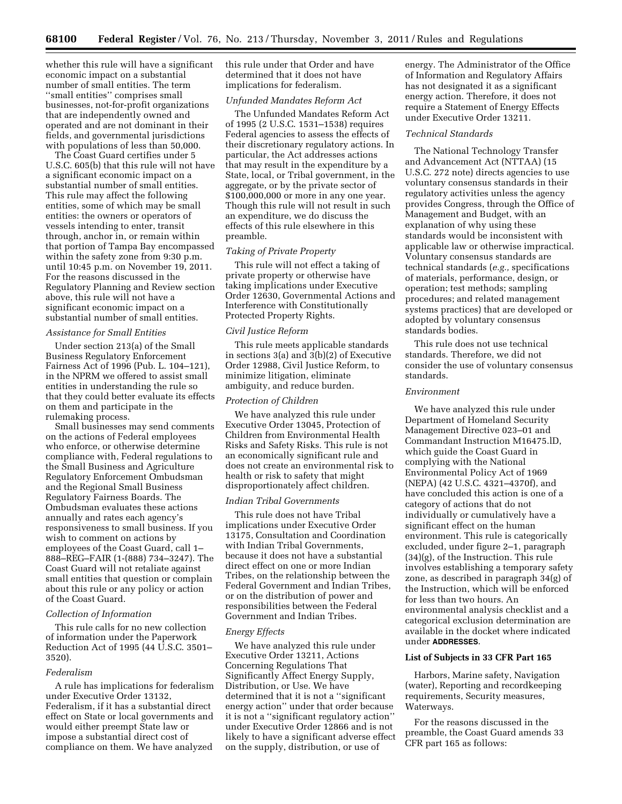whether this rule will have a significant economic impact on a substantial number of small entities. The term ''small entities'' comprises small businesses, not-for-profit organizations that are independently owned and operated and are not dominant in their fields, and governmental jurisdictions with populations of less than 50,000.

The Coast Guard certifies under 5 U.S.C. 605(b) that this rule will not have a significant economic impact on a substantial number of small entities. This rule may affect the following entities, some of which may be small entities: the owners or operators of vessels intending to enter, transit through, anchor in, or remain within that portion of Tampa Bay encompassed within the safety zone from 9:30 p.m. until 10:45 p.m. on November 19, 2011. For the reasons discussed in the Regulatory Planning and Review section above, this rule will not have a significant economic impact on a substantial number of small entities.

### *Assistance for Small Entities*

Under section 213(a) of the Small Business Regulatory Enforcement Fairness Act of 1996 (Pub. L. 104–121), in the NPRM we offered to assist small entities in understanding the rule so that they could better evaluate its effects on them and participate in the rulemaking process.

Small businesses may send comments on the actions of Federal employees who enforce, or otherwise determine compliance with, Federal regulations to the Small Business and Agriculture Regulatory Enforcement Ombudsman and the Regional Small Business Regulatory Fairness Boards. The Ombudsman evaluates these actions annually and rates each agency's responsiveness to small business. If you wish to comment on actions by employees of the Coast Guard, call 1– 888–REG–FAIR (1-(888) 734–3247). The Coast Guard will not retaliate against small entities that question or complain about this rule or any policy or action of the Coast Guard.

## *Collection of Information*

This rule calls for no new collection of information under the Paperwork Reduction Act of 1995 (44 U.S.C. 3501– 3520).

## *Federalism*

A rule has implications for federalism under Executive Order 13132, Federalism, if it has a substantial direct effect on State or local governments and would either preempt State law or impose a substantial direct cost of compliance on them. We have analyzed

this rule under that Order and have determined that it does not have implications for federalism.

### *Unfunded Mandates Reform Act*

The Unfunded Mandates Reform Act of 1995 (2 U.S.C. 1531–1538) requires Federal agencies to assess the effects of their discretionary regulatory actions. In particular, the Act addresses actions that may result in the expenditure by a State, local, or Tribal government, in the aggregate, or by the private sector of \$100,000,000 or more in any one year. Though this rule will not result in such an expenditure, we do discuss the effects of this rule elsewhere in this preamble.

# *Taking of Private Property*

This rule will not effect a taking of private property or otherwise have taking implications under Executive Order 12630, Governmental Actions and Interference with Constitutionally Protected Property Rights.

#### *Civil Justice Reform*

This rule meets applicable standards in sections 3(a) and 3(b)(2) of Executive Order 12988, Civil Justice Reform, to minimize litigation, eliminate ambiguity, and reduce burden.

# *Protection of Children*

We have analyzed this rule under Executive Order 13045, Protection of Children from Environmental Health Risks and Safety Risks. This rule is not an economically significant rule and does not create an environmental risk to health or risk to safety that might disproportionately affect children.

#### *Indian Tribal Governments*

This rule does not have Tribal implications under Executive Order 13175, Consultation and Coordination with Indian Tribal Governments, because it does not have a substantial direct effect on one or more Indian Tribes, on the relationship between the Federal Government and Indian Tribes, or on the distribution of power and responsibilities between the Federal Government and Indian Tribes.

### *Energy Effects*

We have analyzed this rule under Executive Order 13211, Actions Concerning Regulations That Significantly Affect Energy Supply, Distribution, or Use. We have determined that it is not a ''significant energy action'' under that order because it is not a ''significant regulatory action'' under Executive Order 12866 and is not likely to have a significant adverse effect on the supply, distribution, or use of

energy. The Administrator of the Office of Information and Regulatory Affairs has not designated it as a significant energy action. Therefore, it does not require a Statement of Energy Effects under Executive Order 13211.

## *Technical Standards*

The National Technology Transfer and Advancement Act (NTTAA) (15 U.S.C. 272 note) directs agencies to use voluntary consensus standards in their regulatory activities unless the agency provides Congress, through the Office of Management and Budget, with an explanation of why using these standards would be inconsistent with applicable law or otherwise impractical. Voluntary consensus standards are technical standards (*e.g.,* specifications of materials, performance, design, or operation; test methods; sampling procedures; and related management systems practices) that are developed or adopted by voluntary consensus standards bodies.

This rule does not use technical standards. Therefore, we did not consider the use of voluntary consensus standards.

## *Environment*

We have analyzed this rule under Department of Homeland Security Management Directive 023–01 and Commandant Instruction M16475.lD, which guide the Coast Guard in complying with the National Environmental Policy Act of 1969 (NEPA) (42 U.S.C. 4321–4370f), and have concluded this action is one of a category of actions that do not individually or cumulatively have a significant effect on the human environment. This rule is categorically excluded, under figure 2–1, paragraph (34)(g), of the Instruction. This rule involves establishing a temporary safety zone, as described in paragraph 34(g) of the Instruction, which will be enforced for less than two hours. An environmental analysis checklist and a categorical exclusion determination are available in the docket where indicated under **ADDRESSES**.

# **List of Subjects in 33 CFR Part 165**

Harbors, Marine safety, Navigation (water), Reporting and recordkeeping requirements, Security measures, Waterways.

For the reasons discussed in the preamble, the Coast Guard amends 33 CFR part 165 as follows: